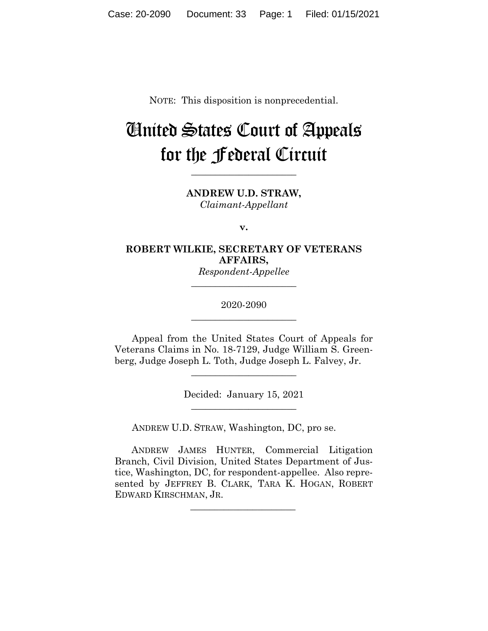NOTE: This disposition is nonprecedential.

# United States Court of Appeals for the Federal Circuit

**ANDREW U.D. STRAW,** *Claimant-Appellant*

**\_\_\_\_\_\_\_\_\_\_\_\_\_\_\_\_\_\_\_\_\_\_**

**v.**

## **ROBERT WILKIE, SECRETARY OF VETERANS AFFAIRS,**

*Respondent-Appellee* **\_\_\_\_\_\_\_\_\_\_\_\_\_\_\_\_\_\_\_\_\_\_**

2020-2090 **\_\_\_\_\_\_\_\_\_\_\_\_\_\_\_\_\_\_\_\_\_\_**

Appeal from the United States Court of Appeals for Veterans Claims in No. 18-7129, Judge William S. Greenberg, Judge Joseph L. Toth, Judge Joseph L. Falvey, Jr.

> Decided: January 15, 2021  $\overline{\phantom{a}}$  , where  $\overline{\phantom{a}}$  , where  $\overline{\phantom{a}}$  , where  $\overline{\phantom{a}}$

 $\overline{\phantom{a}}$  , where  $\overline{\phantom{a}}$  , where  $\overline{\phantom{a}}$  , where  $\overline{\phantom{a}}$ 

ANDREW U.D. STRAW, Washington, DC, pro se.

 $\mathcal{L}_\text{max}$  and  $\mathcal{L}_\text{max}$  and  $\mathcal{L}_\text{max}$  and  $\mathcal{L}_\text{max}$ 

 ANDREW JAMES HUNTER, Commercial Litigation Branch, Civil Division, United States Department of Justice, Washington, DC, for respondent-appellee. Also represented by JEFFREY B. CLARK, TARA K. HOGAN, ROBERT EDWARD KIRSCHMAN, JR.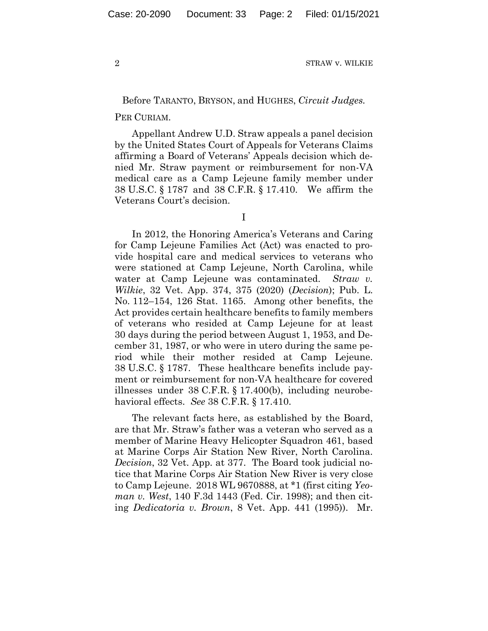## Before TARANTO, BRYSON, and HUGHES, *Circuit Judges.*

#### PER CURIAM.

Appellant Andrew U.D. Straw appeals a panel decision by the United States Court of Appeals for Veterans Claims affirming a Board of Veterans' Appeals decision which denied Mr. Straw payment or reimbursement for non-VA medical care as a Camp Lejeune family member under 38 U.S.C. § 1787 and 38 C.F.R. § 17.410. We affirm the Veterans Court's decision.

I

In 2012, the Honoring America's Veterans and Caring for Camp Lejeune Families Act (Act) was enacted to provide hospital care and medical services to veterans who were stationed at Camp Lejeune, North Carolina, while water at Camp Lejeune was contaminated. *Straw v. Wilkie*, 32 Vet. App. 374, 375 (2020) (*Decision*); Pub. L. No. 112–154, 126 Stat. 1165. Among other benefits, the Act provides certain healthcare benefits to family members of veterans who resided at Camp Lejeune for at least 30 days during the period between August 1, 1953, and December 31, 1987, or who were in utero during the same period while their mother resided at Camp Lejeune. 38 U.S.C. § 1787. These healthcare benefits include payment or reimbursement for non-VA healthcare for covered illnesses under 38 C.F.R. § 17.400(b), including neurobehavioral effects. *See* 38 C.F.R. § 17.410.

The relevant facts here, as established by the Board, are that Mr. Straw's father was a veteran who served as a member of Marine Heavy Helicopter Squadron 461, based at Marine Corps Air Station New River, North Carolina. *Decision*, 32 Vet. App. at 377. The Board took judicial notice that Marine Corps Air Station New River is very close to Camp Lejeune. 2018 WL 9670888, at \*1 (first citing *Yeoman v. West*, 140 F.3d 1443 (Fed. Cir. 1998); and then citing *Dedicatoria v. Brown*, 8 Vet. App. 441 (1995)). Mr.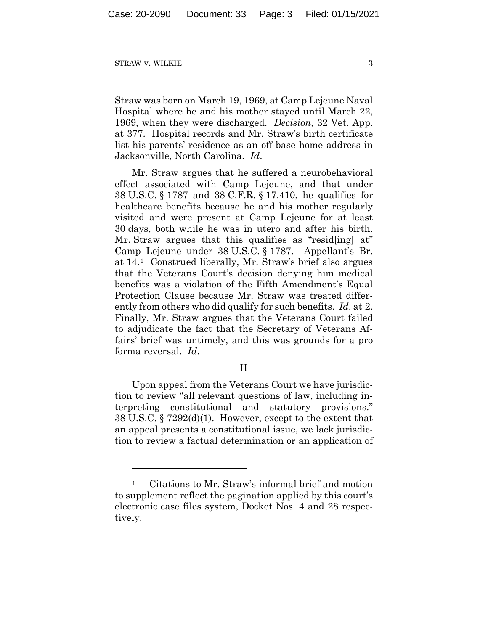Straw was born on March 19, 1969, at Camp Lejeune Naval Hospital where he and his mother stayed until March 22, 1969, when they were discharged. *Decision*, 32 Vet. App. at 377. Hospital records and Mr. Straw's birth certificate list his parents' residence as an off-base home address in Jacksonville, North Carolina. *Id*.

Mr. Straw argues that he suffered a neurobehavioral effect associated with Camp Lejeune, and that under 38 U.S.C. § 1787 and 38 C.F.R. § 17.410, he qualifies for healthcare benefits because he and his mother regularly visited and were present at Camp Lejeune for at least 30 days, both while he was in utero and after his birth. Mr. Straw argues that this qualifies as "resid[ing] at" Camp Lejeune under 38 U.S.C. § 1787. Appellant's Br. at 14.[1](#page-2-0) Construed liberally, Mr. Straw's brief also argues that the Veterans Court's decision denying him medical benefits was a violation of the Fifth Amendment's Equal Protection Clause because Mr. Straw was treated differently from others who did qualify for such benefits. *Id*. at 2. Finally, Mr. Straw argues that the Veterans Court failed to adjudicate the fact that the Secretary of Veterans Affairs' brief was untimely, and this was grounds for a pro forma reversal. *Id*.

II

Upon appeal from the Veterans Court we have jurisdiction to review "all relevant questions of law, including interpreting constitutional and statutory provisions." 38 U.S.C. § 7292(d)(1). However, except to the extent that an appeal presents a constitutional issue, we lack jurisdiction to review a factual determination or an application of

<span id="page-2-0"></span>Citations to Mr. Straw's informal brief and motion to supplement reflect the pagination applied by this court's electronic case files system, Docket Nos. 4 and 28 respectively.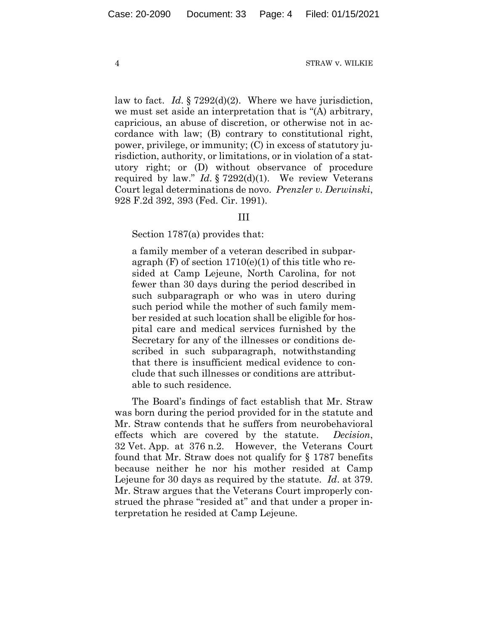law to fact. *Id*. § 7292(d)(2). Where we have jurisdiction, we must set aside an interpretation that is "(A) arbitrary, capricious, an abuse of discretion, or otherwise not in accordance with law; (B) contrary to constitutional right, power, privilege, or immunity; (C) in excess of statutory jurisdiction, authority, or limitations, or in violation of a statutory right; or (D) without observance of procedure required by law." *Id*. § 7292(d)(1). We review Veterans Court legal determinations de novo. *Prenzler v. Derwinski*, 928 F.2d 392, 393 (Fed. Cir. 1991).

### III

Section 1787(a) provides that:

a family member of a veteran described in subparagraph  $(F)$  of section  $1710(e)(1)$  of this title who resided at Camp Lejeune, North Carolina, for not fewer than 30 days during the period described in such subparagraph or who was in utero during such period while the mother of such family member resided at such location shall be eligible for hospital care and medical services furnished by the Secretary for any of the illnesses or conditions described in such subparagraph, notwithstanding that there is insufficient medical evidence to conclude that such illnesses or conditions are attributable to such residence.

The Board's findings of fact establish that Mr. Straw was born during the period provided for in the statute and Mr. Straw contends that he suffers from neurobehavioral effects which are covered by the statute. *Decision*, 32 Vet. App. at 376 n.2. However, the Veterans Court found that Mr. Straw does not qualify for § 1787 benefits because neither he nor his mother resided at Camp Lejeune for 30 days as required by the statute. *Id*. at 379. Mr. Straw argues that the Veterans Court improperly construed the phrase "resided at" and that under a proper interpretation he resided at Camp Lejeune.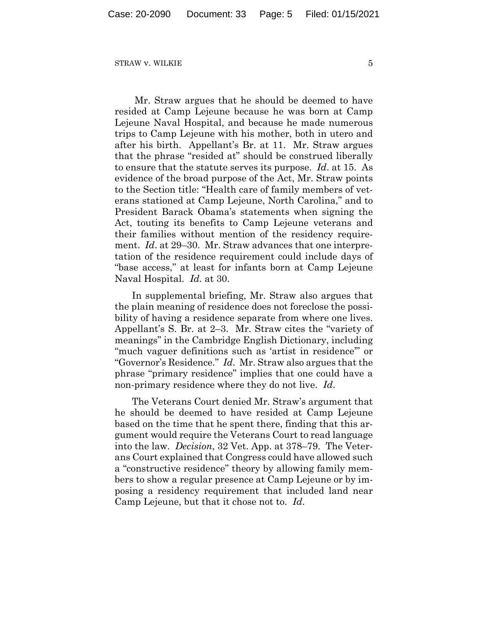Mr. Straw argues that he should be deemed to have resided at Camp Lejeune because he was born at Camp Lejeune Naval Hospital, and because he made numerous trips to Camp Lejeune with his mother, both in utero and after his birth. Appellant's Br. at 11. Mr. Straw argues that the phrase "resided at" should be construed liberally to ensure that the statute serves its purpose. *Id*. at 15. As evidence of the broad purpose of the Act, Mr. Straw points to the Section title: "Health care of family members of veterans stationed at Camp Lejeune, North Carolina," and to President Barack Obama's statements when signing the Act, touting its benefits to Camp Lejeune veterans and their families without mention of the residency requirement. *Id*. at 29–30. Mr. Straw advances that one interpretation of the residence requirement could include days of "base access," at least for infants born at Camp Lejeune Naval Hospital. *Id.* at 30.

In supplemental briefing, Mr. Straw also argues that the plain meaning of residence does not foreclose the possibility of having a residence separate from where one lives. Appellant's S. Br. at 2–3. Mr. Straw cites the "variety of meanings" in the Cambridge English Dictionary, including "much vaguer definitions such as 'artist in residence'" or "Governor's Residence." *Id*. Mr. Straw also argues that the phrase "primary residence" implies that one could have a non-primary residence where they do not live. *Id*.

The Veterans Court denied Mr. Straw's argument that he should be deemed to have resided at Camp Lejeune based on the time that he spent there, finding that this argument would require the Veterans Court to read language into the law. *Decision*, 32 Vet. App. at 378–79. The Veterans Court explained that Congress could have allowed such a "constructive residence" theory by allowing family members to show a regular presence at Camp Lejeune or by imposing a residency requirement that included land near Camp Lejeune, but that it chose not to. *Id*.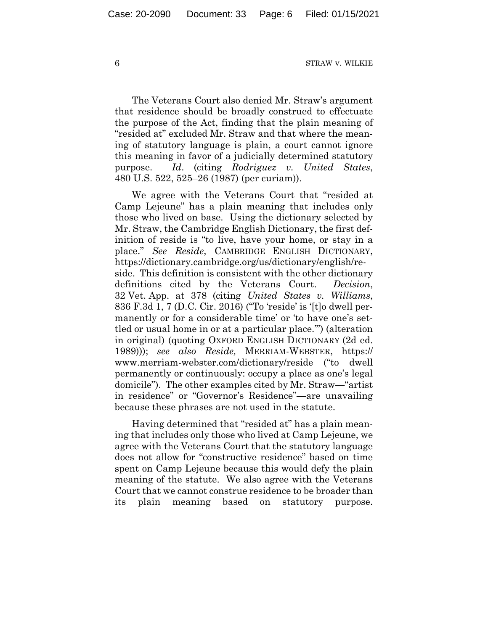The Veterans Court also denied Mr. Straw's argument that residence should be broadly construed to effectuate the purpose of the Act, finding that the plain meaning of "resided at" excluded Mr. Straw and that where the meaning of statutory language is plain, a court cannot ignore this meaning in favor of a judicially determined statutory purpose. *Id*. (citing *Rodriguez v. United States*, 480 U.S. 522, 525–26 (1987) (per curiam)).

We agree with the Veterans Court that "resided at Camp Lejeune" has a plain meaning that includes only those who lived on base. Using the dictionary selected by Mr. Straw, the Cambridge English Dictionary, the first definition of reside is "to live, have your home, or stay in a place." *See Reside*, CAMBRIDGE ENGLISH DICTIONARY, https://dictionary.cambridge.org/us/dictionary/english/reside. This definition is consistent with the other dictionary definitions cited by the Veterans Court. *Decision*, 32 Vet. App. at 378 (citing *United States v. Williams*, 836 F.3d 1, 7 (D.C. Cir. 2016) ("To 'reside' is '[t]o dwell permanently or for a considerable time' or 'to have one's settled or usual home in or at a particular place.'") (alteration in original) (quoting OXFORD ENGLISH DICTIONARY (2d ed. 1989))); *see also Reside,* MERRIAM-WEBSTER, https:// www.merriam-webster.com/dictionary/reside ("to dwell permanently or continuously: occupy a place as one's legal domicile"). The other examples cited by Mr. Straw—"artist in residence" or "Governor's Residence"—are unavailing because these phrases are not used in the statute.

Having determined that "resided at" has a plain meaning that includes only those who lived at Camp Lejeune, we agree with the Veterans Court that the statutory language does not allow for "constructive residence" based on time spent on Camp Lejeune because this would defy the plain meaning of the statute. We also agree with the Veterans Court that we cannot construe residence to be broader than its plain meaning based on statutory purpose.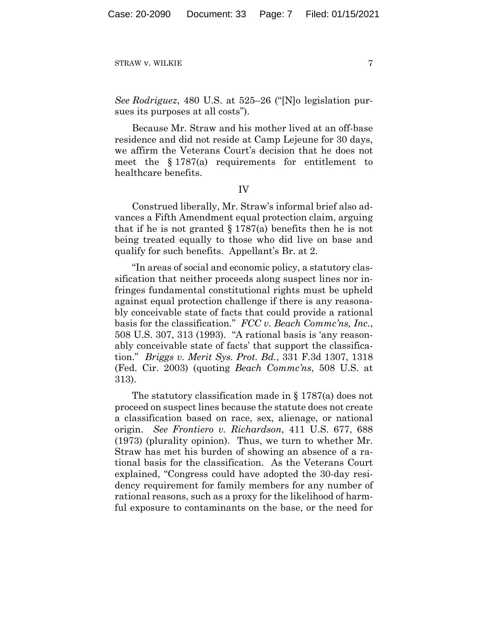*See Rodriguez*, 480 U.S. at 525–26 ("[N]o legislation pursues its purposes at all costs").

Because Mr. Straw and his mother lived at an off-base residence and did not reside at Camp Lejeune for 30 days, we affirm the Veterans Court's decision that he does not meet the § 1787(a) requirements for entitlement to healthcare benefits.

IV

Construed liberally, Mr. Straw's informal brief also advances a Fifth Amendment equal protection claim, arguing that if he is not granted  $\S 1787(a)$  benefits then he is not being treated equally to those who did live on base and qualify for such benefits. Appellant's Br. at 2.

"In areas of social and economic policy, a statutory classification that neither proceeds along suspect lines nor infringes fundamental constitutional rights must be upheld against equal protection challenge if there is any reasonably conceivable state of facts that could provide a rational basis for the classification." *FCC v. Beach Commc'ns, Inc.*, 508 U.S. 307, 313 (1993). "A rational basis is 'any reasonably conceivable state of facts' that support the classification." *Briggs v. Merit Sys. Prot. Bd.*, 331 F.3d 1307, 1318 (Fed. Cir. 2003) (quoting *Beach Commc'ns*, 508 U.S. at 313).

The statutory classification made in § 1787(a) does not proceed on suspect lines because the statute does not create a classification based on race, sex, alienage, or national origin. *See Frontiero v. Richardson*, 411 U.S. 677, 688 (1973) (plurality opinion). Thus, we turn to whether Mr. Straw has met his burden of showing an absence of a rational basis for the classification. As the Veterans Court explained, "Congress could have adopted the 30-day residency requirement for family members for any number of rational reasons, such as a proxy for the likelihood of harmful exposure to contaminants on the base, or the need for